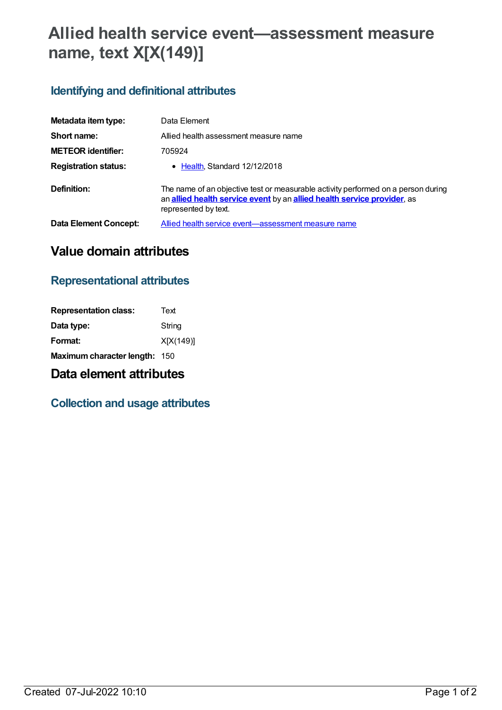# **Allied health service event—assessment measure name, text X[X(149)]**

## **Identifying and definitional attributes**

| Metadata item type:         | Data Element                                                                                                                                                                         |
|-----------------------------|--------------------------------------------------------------------------------------------------------------------------------------------------------------------------------------|
| Short name:                 | Allied health assessment measure name                                                                                                                                                |
| <b>METEOR</b> identifier:   | 705924                                                                                                                                                                               |
| <b>Registration status:</b> | • Health, Standard 12/12/2018                                                                                                                                                        |
| Definition:                 | The name of an objective test or measurable activity performed on a person during<br>an allied health service event by an allied health service provider, as<br>represented by text. |
| Data Element Concept:       | Allied health service event—assessment measure name                                                                                                                                  |

## **Value domain attributes**

### **Representational attributes**

| Text                          |
|-------------------------------|
| String                        |
| X[X(149)]                     |
| Maximum character length: 150 |
|                               |

## **Data element attributes**

### **Collection and usage attributes**